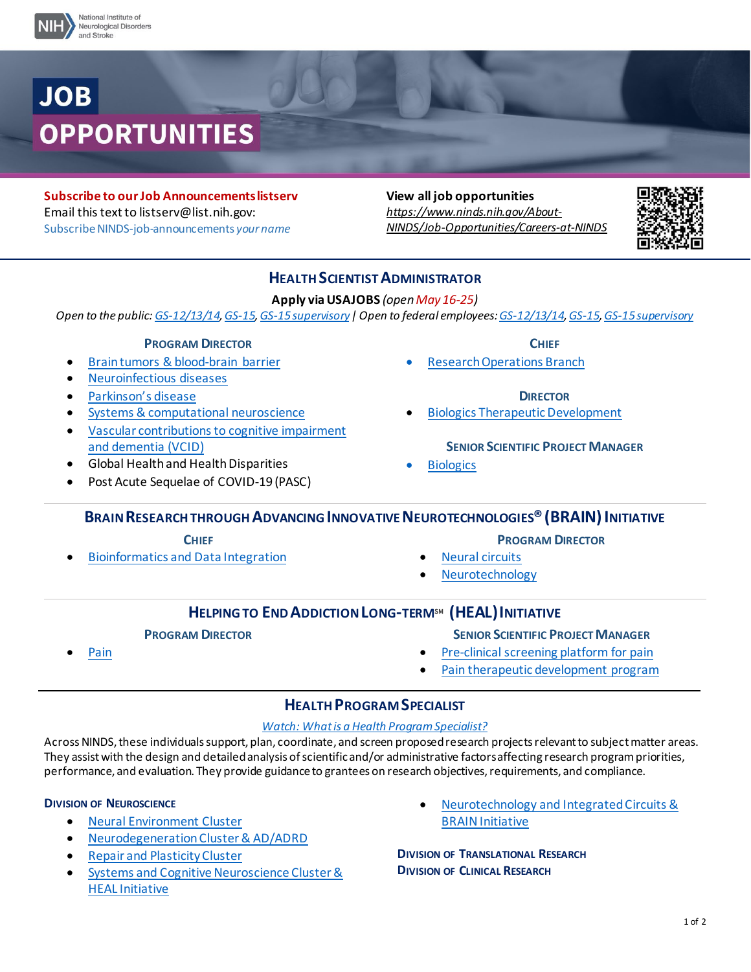

**Subscribe to our Job Announcements listserv** Email this text to [listserv@list.nih.gov:](mailto:LISTSERV@LIST.NIH.GOV) Subscribe NINDS-job-announcements *your name* 

**View all job opportunities** *[https://www.ninds.nih.gov/About-](https://www.ninds.nih.gov/About-NINDS/Job-Opportunities/Careers-at-NINDS)[NINDS/Job-Opportunities/Careers-at-NINDS](https://www.ninds.nih.gov/About-NINDS/Job-Opportunities/Careers-at-NINDS)*



# **HEALTH SCIENTIST ADMINISTRATOR**

**Apply via USAJOBS** *(open May 16-25)* 

*Open to the public[: GS-12/13/14,](https://gcc02.safelinks.protection.outlook.com/?url=https%3A%2F%2Fwww.usajobs.gov%2FGetJob%2FViewDetails%2F653501300&data=05%7C01%7Cling.wong%40nih.gov%7C5954fcbb56f445137c3c08da336c349f%7C14b77578977342d58507251ca2dc2b06%7C0%7C0%7C637878837489278861%7CUnknown%7CTWFpbGZsb3d8eyJWIjoiMC4wLjAwMDAiLCJQIjoiV2luMzIiLCJBTiI6Ik1haWwiLCJXVCI6Mn0%3D%7C3000%7C%7C%7C&sdata=o5G3Sc47lkJAHaiF7g%2BMeOkojBcOVIwqGoneSQSlpt8%3D&reserved=0) [GS-15,](https://gcc02.safelinks.protection.outlook.com/?url=https%3A%2F%2Fwww.usajobs.gov%2FGetJob%2FViewDetails%2F653422600&data=05%7C01%7Cling.wong%40nih.gov%7C5954fcbb56f445137c3c08da336c349f%7C14b77578977342d58507251ca2dc2b06%7C0%7C0%7C637878837489278861%7CUnknown%7CTWFpbGZsb3d8eyJWIjoiMC4wLjAwMDAiLCJQIjoiV2luMzIiLCJBTiI6Ik1haWwiLCJXVCI6Mn0%3D%7C3000%7C%7C%7C&sdata=QTJ2xD7W8YXUxoOQAPtd2Upw5yvYyaPWXLLut8EO83E%3D&reserved=0) [GS-15 supervisory|](https://gcc02.safelinks.protection.outlook.com/?url=https%3A%2F%2Fwww.usajobs.gov%2FGetJob%2FViewDetails%2F653420000&data=05%7C01%7Cling.wong%40nih.gov%7C5954fcbb56f445137c3c08da336c349f%7C14b77578977342d58507251ca2dc2b06%7C0%7C0%7C637878837489278861%7CUnknown%7CTWFpbGZsb3d8eyJWIjoiMC4wLjAwMDAiLCJQIjoiV2luMzIiLCJBTiI6Ik1haWwiLCJXVCI6Mn0%3D%7C3000%7C%7C%7C&sdata=luV4DXwBsPXGzj%2FaeuPcNF%2F0CmNcsqiePkfBFUkNYeo%3D&reserved=0) Open to federal employees[: GS-12/13/14,](https://gcc02.safelinks.protection.outlook.com/?url=https%3A%2F%2Fwww.usajobs.gov%2FGetJob%2FViewDetails%2F653500300&data=05%7C01%7Cling.wong%40nih.gov%7C5954fcbb56f445137c3c08da336c349f%7C14b77578977342d58507251ca2dc2b06%7C0%7C0%7C637878837489278861%7CUnknown%7CTWFpbGZsb3d8eyJWIjoiMC4wLjAwMDAiLCJQIjoiV2luMzIiLCJBTiI6Ik1haWwiLCJXVCI6Mn0%3D%7C3000%7C%7C%7C&sdata=u2J6087jeqvVhpenTRBth60JnAnkdz3TPUiL5HI2qYk%3D&reserved=0) [GS-15](https://gcc02.safelinks.protection.outlook.com/?url=https%3A%2F%2Fwww.usajobs.gov%2FGetJob%2FViewDetails%2F653427300&data=05%7C01%7Cling.wong%40nih.gov%7C5954fcbb56f445137c3c08da336c349f%7C14b77578977342d58507251ca2dc2b06%7C0%7C0%7C637878837489278861%7CUnknown%7CTWFpbGZsb3d8eyJWIjoiMC4wLjAwMDAiLCJQIjoiV2luMzIiLCJBTiI6Ik1haWwiLCJXVCI6Mn0%3D%7C3000%7C%7C%7C&sdata=9cr0k9Aufthz8WzLjlxlspmaI%2BYjjRHymbBvgDW1pBc%3D&reserved=0)[, GS-15 supervisory](https://gcc02.safelinks.protection.outlook.com/?url=https%3A%2F%2Fwww.usajobs.gov%2FGetJob%2FViewDetails%2F653420100&data=05%7C01%7Cling.wong%40nih.gov%7C5954fcbb56f445137c3c08da336c349f%7C14b77578977342d58507251ca2dc2b06%7C0%7C0%7C637878837489278861%7CUnknown%7CTWFpbGZsb3d8eyJWIjoiMC4wLjAwMDAiLCJQIjoiV2luMzIiLCJBTiI6Ik1haWwiLCJXVCI6Mn0%3D%7C3000%7C%7C%7C&sdata=diBpwxO4yA3MYseGfxYCLP24E33HFq%2Fv6IRV3ukTR1o%3D&reserved=0)*

### **PROGRAM DIRECTOR**

- [Brain tumors & blood-brain barrier](https://www.ninds.nih.gov/about-ninds/job-opportunities/careers-ninds/health-scientist-administrator-program-director-neural-environment-cluster)
- [Neuroinfectious diseases](https://www.ninds.nih.gov/about-ninds/job-opportunities/careers-ninds/health-scientist-administrator-program-director-neural-environment-cluster)
- [Parkinson's disease](https://www.ninds.nih.gov/about-ninds/job-opportunities/careers-ninds/program-director-parkinsons-disease)
- [Systems & computational neuroscience](https://www.ninds.nih.gov/about-ninds/job-opportunities/careers-ninds/program-director-systems-computational-neuroscience)
- [Vascular contributions to cognitive impairment](https://www.ninds.nih.gov/about-ninds/job-opportunities/careers-ninds/program-director-vascular-contributions-cognitive-impairment-and-dementia-vcid)  [and dementia \(VCID\)](https://www.ninds.nih.gov/about-ninds/job-opportunities/careers-ninds/program-director-vascular-contributions-cognitive-impairment-and-dementia-vcid)
- Global Health and Health Disparities
- Post Acute Sequelae of COVID-19 (PASC)

**CHIEF**

National Institute of Neurological Disorders and Stroke (NINDS)

• [Research Operations Branch](https://www.ninds.nih.gov/about-ninds/job-opportunities/careers-ninds/chief-research-operations-branch)

#### **DIRECTOR**

- [Biologics Therapeutic Development](https://www.ninds.nih.gov/about-ninds/job-opportunities/careers-ninds/director-biologics-neurotherapeutic-development)
	- **SENIOR SCIENTIFIC PROJECT MANAGER**
- **[Biologics](https://www.ninds.nih.gov/about-ninds/job-opportunities/careers-ninds/health-scientist-administrator-bpn-biologics)**

# **BRAIN RESEARCH THROUGH ADVANCING INNOVATIVE NEUROTECHNOLOGIES<sup>®</sup> (BRAIN) INITIATIVE**

#### **CHIEF**

• [Bioinformatics and Data Integration](https://braininitiative.nih.gov/about/job-opportunities)

- **PROGRAM DIRECTOR**
- **[Neural circuits](https://www.ninds.nih.gov/about-ninds/job-opportunities/nih-brain-initiativer-careers/program-director-neural-circuits)**
- **[Neurotechnology](https://www.ninds.nih.gov/about-ninds/job-opportunities/careers-ninds/program-director-neurotechnology)**

# **HELPING TO END ADDICTION LONG-TERM**SM **(HEAL)INITIATIVE**

### **PROGRAM DIRECTOR**

- **SENIOR SCIENTIFIC PROJECT MANAGER**
- [Pre-clinical screening platform for pain](https://www.ninds.nih.gov/about-ninds/job-opportunities/nih-heal-initiative-careers/health-scientist-administrator-pspp-heal-initiative)
- [Pain therapeutic development program](https://www.ninds.nih.gov/about-ninds/job-opportunities/nih-heal-initiative-careers/health-scientist-administrator-heal-initiative-ptdp)

### **HEALTH PROGRAM SPECIALIST**

#### *[Watch: What is a Health Program Specialist?](https://www.youtube.com/watch?v=4wKPSBSAOb4)*

Across NINDS, these individuals support, plan, coordinate, and screen proposed research projects relevant to subject matter areas. They assist with the design and detailed analysis of scientific and/or administrative factors affecting research program priorities, performance, and evaluation. They provide guidance to grantees on research objectives, requirements, and compliance.

### **DIVISION OF NEUROSCIENCE**

**[Pain](https://www.ninds.nih.gov/about-ninds/job-opportunities/nih-heal-initiative-careers/program-director-pain)** 

- [Neural Environment Cluster](https://www.ninds.nih.gov/About-NINDS/Job-Opportunities/Careers-NINDS/DON-Health-Program-Specialist)
- [Neurodegeneration Cluster & AD/ADRD](https://www.ninds.nih.gov/About-NINDS/Job-Opportunities/Careers-NINDS/DON-Health-Program-Specialist)
- [Repair and Plasticity Cluster](https://www.ninds.nih.gov/About-NINDS/Job-Opportunities/Careers-NINDS/DON-Health-Program-Specialist)
- [Systems and Cognitive Neuroscience Cluster](https://www.ninds.nih.gov/About-NINDS/Job-Opportunities/Careers-NINDS/DON-Health-Program-Specialist)& [HEAL Initiative](https://www.ninds.nih.gov/About-NINDS/Job-Opportunities/Careers-NINDS/HEAL-Initiative-HPS-SCNC)
- [Neurotechnology and](https://www.ninds.nih.gov/division-neuroscience-health-program-specialist-vacancies) Integrated Circuits & [BRAIN Initiative](https://www.ninds.nih.gov/division-neuroscience-health-program-specialist-vacancies)

**DIVISION OF TRANSLATIONAL RESEARCH DIVISION OF CLINICAL RESEARCH**